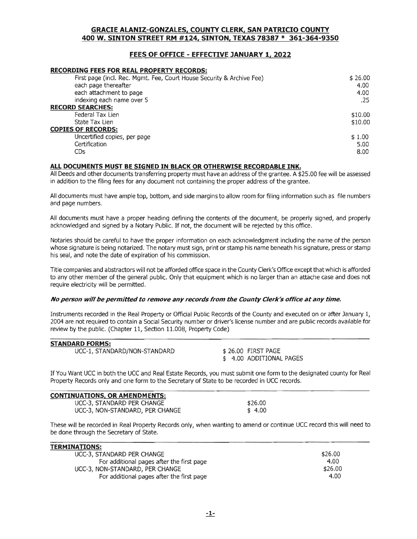## fEES Of OffiCE - EffECTIVE JANUARY 1, 2022

#### **RECORDING FEES FOR REAL PROPERTY RECORDS:**

| First page (incl. Rec. Mgmt. Fee, Court House Security & Archive Fee) | \$26.00 |
|-----------------------------------------------------------------------|---------|
| each page thereafter                                                  | 4.00    |
| each attachment to page                                               | 4.00    |
| indexing each name over 5                                             | .25     |
| <b>RECORD SEARCHES:</b>                                               |         |
| Federal Tax Lien                                                      | \$10.00 |
| State Tax Lien                                                        | \$10.00 |
| <b>COPIES OF RECORDS:</b>                                             |         |
| Uncertified copies, per page                                          | \$1.00  |
| Certification                                                         | 5.00    |
| CDs                                                                   | 8.00    |
|                                                                       |         |

#### ALL DOCUMENTS MUST BE SIGNED IN BLACK OR OTHERWISE RECORDABLE INK.

All Deeds and other documents transferring property must have an address of the grantee. A \$25.00 fee will be assessed in addition to the filing fees for any document not containing the proper address of the grantee.

All documents must have ample top, bottom, and side margins to allow room for filing information such as file numbers and page numbers.

All documents must have a proper heading defining the contents of the document, be properly signed, and properly acknowledged and signed by a Notary Public. If not, the document will be rejected by this office.

Notaries should be careful to have the proper information on each acknowledgment including the name of the person whose signature is being notarized. The notary must sign, print or stamp his name beneath his signature, press or stamp his seal, and note the date of expiration of his commission.

Title companies and abstractors will not be afforded office space in the County Clerk's Office except that which is afforded to any other member of the general public. Only that equipment which is no larger than an attache case and does not require electricity will be permitted.

#### No person will be permitted to remove any records from the County Clerk's office at any time.

Instruments recorded in the Real Property or Official Public Records of the County and executed on or after January 1, 2004 are not required to contain a Social Security number or driver's license number and are public records available for review by the public. (Chapter  $11$ , Section  $11.008$ , Property Code)

| <b>STANDARD FORMS:</b>       |                         |
|------------------------------|-------------------------|
| UCC-1, STANDARD/NON-STANDARD | \$26.00 FIRST PAGE      |
|                              | \$4.00 ADDITIONAL PAGES |

If You Want UCC in both the UCC and Real Estate Records, you must submit one form to the designated county for Real Property Records only and one form to the Secretary of State to be recorded in UCC records.

| CONTINUATIONS, OR AMENDMENTS:   |         |  |
|---------------------------------|---------|--|
| UCC-3, STANDARD PER CHANGE      | \$26.00 |  |
| UCC-3, NON-STANDARD, PER CHANGE | \$4.00  |  |

These will be recorded in Real Property Records only, when wanting to amend or continue UCC record this will need to be done through the Secretary of State.

| <b>TERMINATIONS:</b>                      |         |
|-------------------------------------------|---------|
| UCC-3, STANDARD PER CHANGE                | \$26.00 |
| For additional pages after the first page | 4.00    |
| UCC-3, NON-STANDARD, PER CHANGE           | \$26.00 |
| For additional pages after the first page | 4.00    |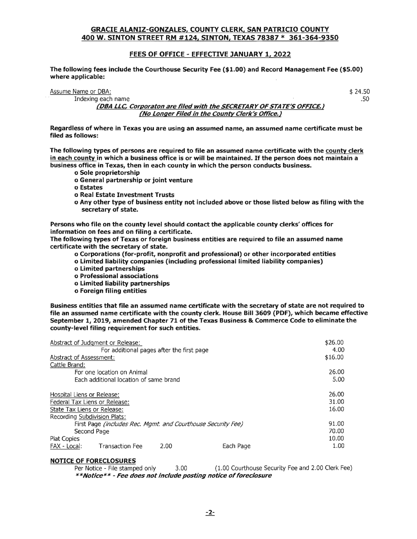#### **FEES OF OFFICE - EFFECTIVE JANUARY 1, 2022**

The following fees include the Courthouse Security Fee (\$1.00) and Record Management Fee (\$5.00) where applicable:

Assume Name or DBA:

Indexing each name

\$ 24.50 .50

(DBA LLC, Corporaton are filed with the SECRETARY OF STATE'S OFFICE.) (No Longer Filed in the County Clerk's Office.)

Regardless of where in Texas you are using an assumed name, an assumed name certificate must be filed as follows:

The following types of persons are required to file an assumed name certificate with the county clerk in each county in which a business office is or will be maintained. If the person does not maintain a business office in Texas, then in each county in which the person conducts business.

- o Sole proprietorship
- o General partnership or joint venture
- o Estates
- o Real Estate Investment Trusts
- o Any other type of business entity not included above or those listed below as filing with the secretary of state.

Persons who file on the county level should contact the applicable county clerks' offices for information on fees and on filing a certificate.

The following types of Texas or foreign business entities are required to file an assumed name certificate with the secretary of state.

- o Corporations (for-profit, nonprofit and professional) or other incorporated entities
- o limited liability companies (including professional limited liability companies)
- o limited
- o Professional associations
- o limited liability partnerships
- o Foreign filing entities

Business entities that file an assumed name certificate with the secretary of state are not required to file an assumed name certificate with the county clerk. House Bill 3609 (PDF), which became effective September 1, 2019, amended Chapter 71 of the Texas Business & Commerce Code to eliminate the county-level filing requirement for such entities.

|                               | Abstract of Judgment or Release:                             |      |           | \$26,00 |
|-------------------------------|--------------------------------------------------------------|------|-----------|---------|
|                               | For additional pages after the first page                    |      |           | 4.00    |
| Abstract of Assessment:       |                                                              |      |           | \$16.00 |
| Cattle Brand:                 |                                                              |      |           |         |
|                               | For one location on Animal                                   |      |           | 26.00   |
|                               | Each additional location of same brand                       |      |           | 5.00    |
| Hospital Liens or Release:    |                                                              |      |           | 26.00   |
| Federal Tax Liens or Release: |                                                              |      |           | 31.00   |
| State Tax Liens or Release:   |                                                              |      |           | 16.00   |
| Recording Subdivision Plats:  |                                                              |      |           |         |
|                               | First Page (includes Rec. Mgmt. and Courthouse Security Fee) |      |           | 91.00   |
|                               | Second Page                                                  |      |           | 70.00   |
| <b>Plat Copies</b>            |                                                              |      |           | 10.00   |
| FAX - Local:                  | <b>Transaction Fee</b>                                       | 2.00 | Each Page | 1.00    |

#### **NOTICE OF FORECLOSURES**

Per Notice - File stamped only 3.00 (1.00 Courthouse Security Fee and 2.00 Clerk Fee) \*\*Notice\*\* - Fee does not include posting notice of foreclosure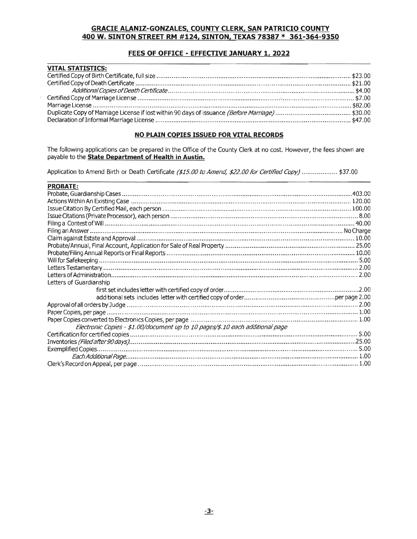## FEES OF OFFICE - EFFECTIVE JANUARY 1, 2022

| <b>VITAL STATISTICS:</b> |  |
|--------------------------|--|
|                          |  |
|                          |  |
|                          |  |
|                          |  |
|                          |  |
|                          |  |
|                          |  |

#### NO PLAIN COPIES ISSUED FOR VITAL RECORDS

The following applications can be prepared in the Office of the County Clerk at no cost. However, the fees shown are payable to the **State Department of Health in Austin.** 

Application to Amend Birth or Death Certificate (\$15.00 to Amend, \$22.00 for Certified Copy) .................. \$37.00

| <b>PROBATE:</b>                                                               |  |
|-------------------------------------------------------------------------------|--|
|                                                                               |  |
|                                                                               |  |
|                                                                               |  |
|                                                                               |  |
|                                                                               |  |
|                                                                               |  |
|                                                                               |  |
|                                                                               |  |
|                                                                               |  |
|                                                                               |  |
|                                                                               |  |
|                                                                               |  |
| Letters of Guardianship                                                       |  |
|                                                                               |  |
|                                                                               |  |
|                                                                               |  |
|                                                                               |  |
|                                                                               |  |
| Electronic Copies - \$1.00/document up to 10 pages/\$.10 each additional page |  |
|                                                                               |  |
|                                                                               |  |
|                                                                               |  |
|                                                                               |  |
|                                                                               |  |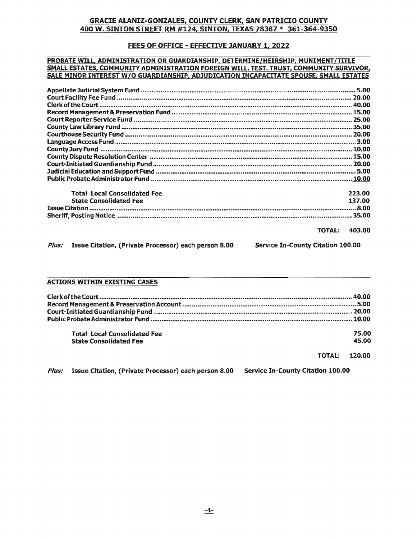## FEES OF OFFICE - EFFECTIVE JANUARY 1, 2022

#### PROBATE WILL, ADMINISTRATION OR GUARDIANSHIP, DETERMINE/HEIRSHIP, MUNIMENT/TITLE SMALL ESTATES, COMMUNITY ADMINISTRATION FOREIGN WILL, TEST. TRUST, COMMUNITY SURVIVOR, SALE MINOR INTEREST W/O GUARDIANSHIP, ADJUDICATION INCAPACITATE SPOUSE, SMALL ESTATES

| <b>Total Local Consolidated Fee</b>                                                                            | 223.00              |
|----------------------------------------------------------------------------------------------------------------|---------------------|
| <b>State Consolidated Fee</b>                                                                                  | 137.00              |
| محدد مستقدم المستقدم المستقدم المستقدم المستقدم المستقدم المستقدم المستقدم المستقدم المستقدم المستقدم المستقدم |                     |
|                                                                                                                |                     |
|                                                                                                                | <b>TATEL ARS AR</b> |

**TOTAL: 403.00** 

Plus: Issue Citation, (Private Processor) each person 8.00

**Service In-County Citation 100.00** 

# **ACTIONS WITHIN EXISTING CASES**

| <b>Total Local Consolidated Fee</b> | 75.00                |
|-------------------------------------|----------------------|
| <b>State Consolidated Fee</b>       | 45.00                |
|                                     | <b>TOTAL: 120.00</b> |

Plus: Issue Citation, (Private Processor) each person 8.00 **Service In-County Citation 100.00**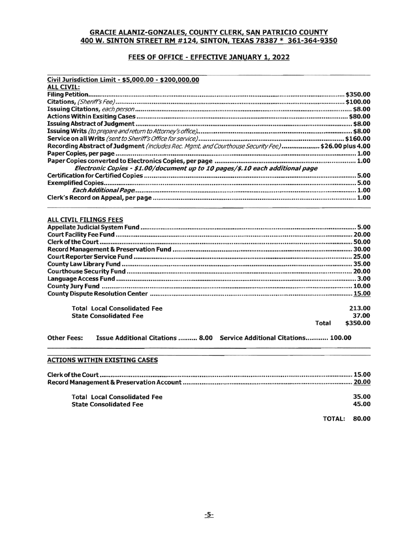## FEES OF OFFICE - EFFECTIVE JANUARY 1, 2022

| Civil Jurisdiction Limit - \$5,000.00 - \$200,000.00                                               |  |
|----------------------------------------------------------------------------------------------------|--|
| <b>ALL CIVIL:</b>                                                                                  |  |
|                                                                                                    |  |
|                                                                                                    |  |
|                                                                                                    |  |
|                                                                                                    |  |
|                                                                                                    |  |
|                                                                                                    |  |
|                                                                                                    |  |
| Recording Abstract of Judgment (includes Rec. Mgmt. and Courthouse Security Fee) \$26.00 plus 4.00 |  |
|                                                                                                    |  |
|                                                                                                    |  |
| Electronic Copies - \$1.00/document up to 10 pages/\$.10 each additional page                      |  |
|                                                                                                    |  |
|                                                                                                    |  |
|                                                                                                    |  |
|                                                                                                    |  |

#### ALL CIVIL FILINGS FEES

| <b>Total Local Consolidated Fee</b> |       | 213.00   |
|-------------------------------------|-------|----------|
| <b>State Consolidated Fee</b>       |       | 37.00    |
|                                     | Total | \$350.00 |

Other Fees: Issue Additional Citations .......... 8.00 Service Additional Citations............ 100.00

#### **ACTIONS WITHIN EXISTING CASES**

| <b>Total Local Consolidated Fee</b> |              | 35.00 |
|-------------------------------------|--------------|-------|
| <b>State Consolidated Fee</b>       |              | 45.00 |
|                                     | TOTAL: 80.00 |       |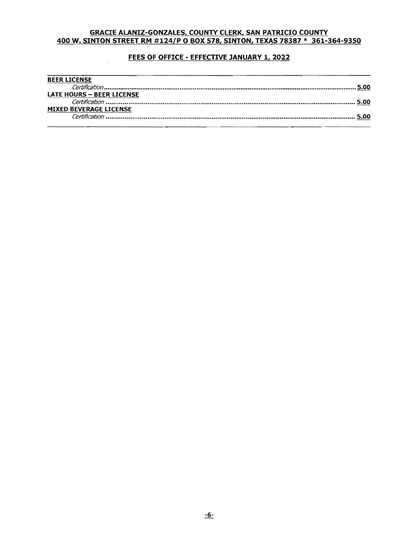## FEES OF OFFICE - EFFECTIVE JANUARY 1, 2022

| <b>BEER LICENSE</b>              |  |
|----------------------------------|--|
|                                  |  |
| <b>LATE HOURS - BEER LICENSE</b> |  |
|                                  |  |
| <b>MIXED BEVERAGE LICENSE</b>    |  |
|                                  |  |
|                                  |  |